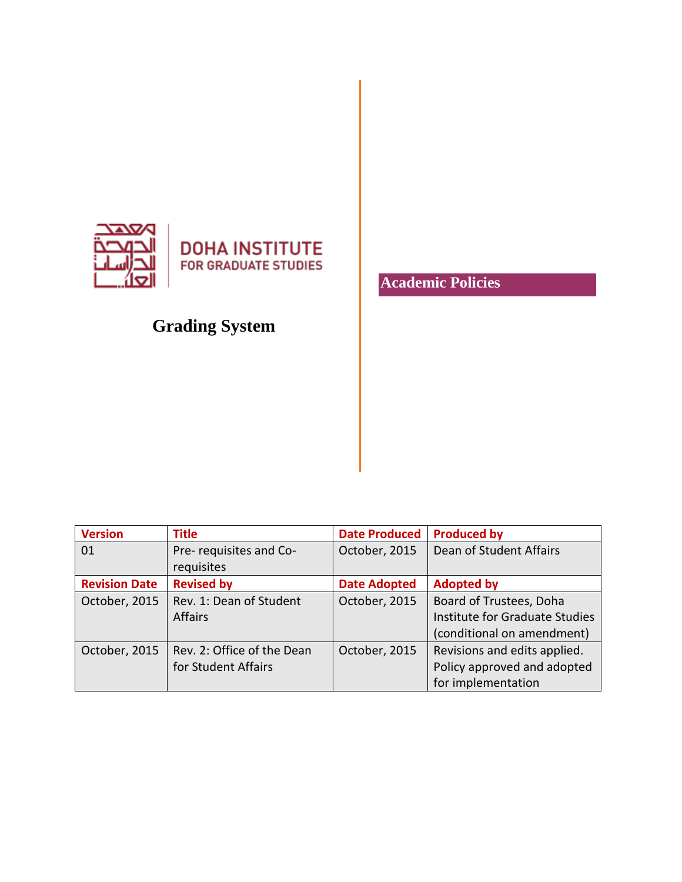

**DOHA INSTITUTE FOR GRADUATE STUDIES** 

# **Grading System**

**Academic Policies**

| <b>Version</b>       | <b>Title</b>               | <b>Date Produced</b> | <b>Produced by</b>             |
|----------------------|----------------------------|----------------------|--------------------------------|
| 01                   | Pre-requisites and Co-     | October, 2015        | Dean of Student Affairs        |
|                      | requisites                 |                      |                                |
| <b>Revision Date</b> | <b>Revised by</b>          | <b>Date Adopted</b>  | <b>Adopted by</b>              |
| October, 2015        | Rev. 1: Dean of Student    | October, 2015        | Board of Trustees, Doha        |
|                      | <b>Affairs</b>             |                      | Institute for Graduate Studies |
|                      |                            |                      | (conditional on amendment)     |
| October, 2015        | Rev. 2: Office of the Dean | October, 2015        | Revisions and edits applied.   |
|                      | for Student Affairs        |                      | Policy approved and adopted    |
|                      |                            |                      | for implementation             |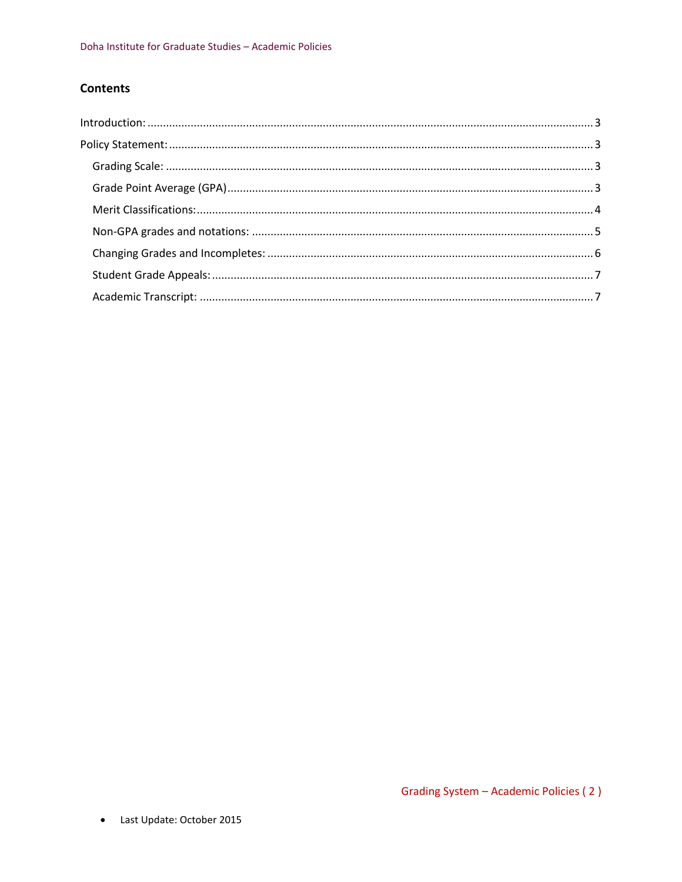## **Contents**

| $Introduction: 3$ |  |
|-------------------|--|
|                   |  |
|                   |  |
|                   |  |
|                   |  |
|                   |  |
|                   |  |
|                   |  |
|                   |  |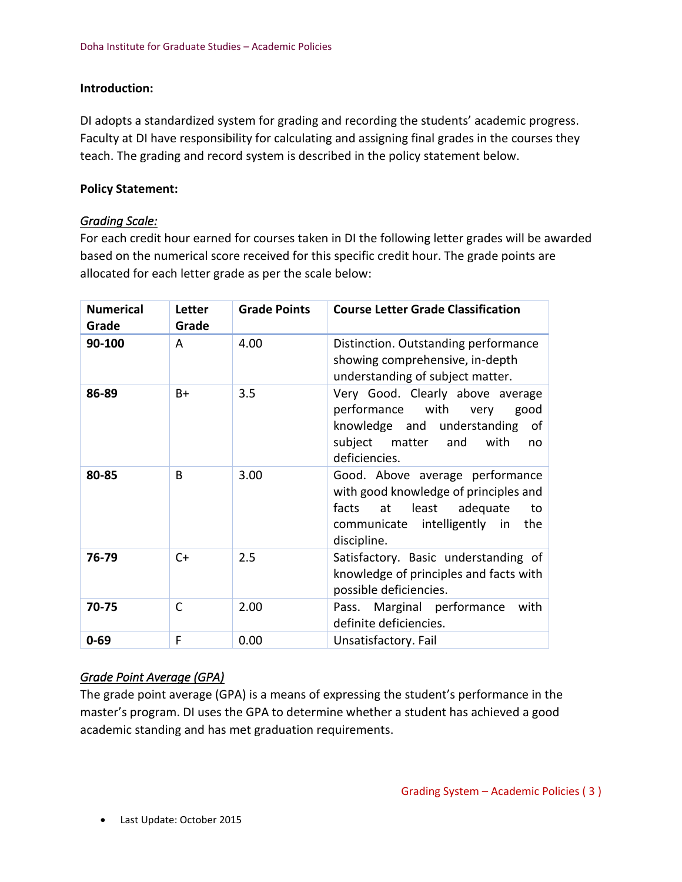#### <span id="page-2-0"></span>**Introduction:**

DI adopts a standardized system for grading and recording the students' academic progress. Faculty at DI have responsibility for calculating and assigning final grades in the courses they teach. The grading and record system is described in the policy statement below.

#### <span id="page-2-1"></span>**Policy Statement:**

#### <span id="page-2-2"></span>*Grading Scale:*

For each credit hour earned for courses taken in DI the following letter grades will be awarded based on the numerical score received for this specific credit hour. The grade points are allocated for each letter grade as per the scale below:

| <b>Numerical</b><br>Grade | Letter<br>Grade | <b>Grade Points</b> | <b>Course Letter Grade Classification</b>                                                                                                                          |
|---------------------------|-----------------|---------------------|--------------------------------------------------------------------------------------------------------------------------------------------------------------------|
| 90-100                    | A               | 4.00                | Distinction. Outstanding performance<br>showing comprehensive, in-depth<br>understanding of subject matter.                                                        |
| 86-89                     | $B+$            | 3.5                 | Very Good. Clearly above average<br>performance with<br>very<br>good<br>knowledge and understanding<br>of<br>subject matter and<br>with<br>no<br>deficiencies.     |
| 80-85                     | B               | 3.00                | Good. Above average performance<br>with good knowledge of principles and<br>facts<br>at least adequate<br>to<br>communicate intelligently in<br>the<br>discipline. |
| 76-79                     | $C+$            | 2.5                 | Satisfactory. Basic understanding of<br>knowledge of principles and facts with<br>possible deficiencies.                                                           |
| 70-75                     | $\mathsf{C}$    | 2.00                | Marginal performance<br>Pass.<br>with<br>definite deficiencies.                                                                                                    |
| $0 - 69$                  | F               | 0.00                | Unsatisfactory. Fail                                                                                                                                               |

## <span id="page-2-3"></span>*Grade Point Average (GPA)*

The grade point average (GPA) is a means of expressing the student's performance in the master's program. DI uses the GPA to determine whether a student has achieved a good academic standing and has met graduation requirements.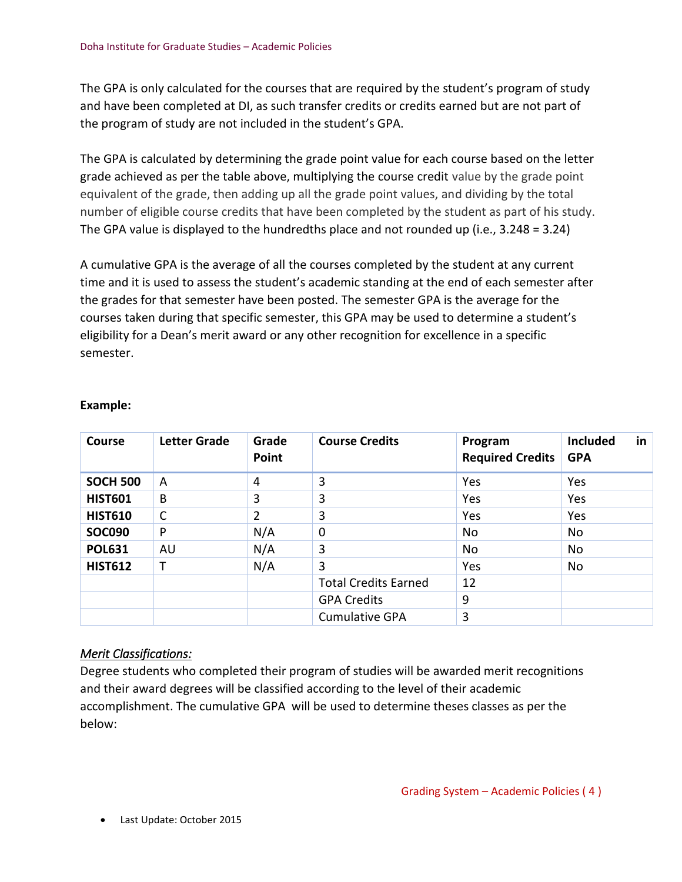The GPA is only calculated for the courses that are required by the student's program of study and have been completed at DI, as such transfer credits or credits earned but are not part of the program of study are not included in the student's GPA.

The GPA is calculated by determining the grade point value for each course based on the letter grade achieved as per the table above, multiplying the course credit value by the grade point equivalent of the grade, then adding up all the grade point values, and dividing by the total number of eligible course credits that have been completed by the student as part of his study. The GPA value is displayed to the hundredths place and not rounded up (i.e., 3.248 = 3.24)

A cumulative GPA is the average of all the courses completed by the student at any current time and it is used to assess the student's academic standing at the end of each semester after the grades for that semester have been posted. The semester GPA is the average for the courses taken during that specific semester, this GPA may be used to determine a student's eligibility for a Dean's merit award or any other recognition for excellence in a specific semester.

| Course          | <b>Letter Grade</b> | Grade<br>Point | <b>Course Credits</b>       | Program<br><b>Required Credits</b> | <b>Included</b><br><b>GPA</b> | in |
|-----------------|---------------------|----------------|-----------------------------|------------------------------------|-------------------------------|----|
| <b>SOCH 500</b> | A                   | 4              | 3                           | Yes                                | Yes                           |    |
| <b>HIST601</b>  | B                   | 3              | 3                           | Yes                                | Yes                           |    |
| <b>HIST610</b>  | C                   | 2              | 3                           | Yes                                | Yes                           |    |
| <b>SOC090</b>   | P                   | N/A            | 0                           | No                                 | No                            |    |
| <b>POL631</b>   | AU                  | N/A            | 3                           | No                                 | No                            |    |
| <b>HIST612</b>  | т                   | N/A            | 3                           | Yes                                | No                            |    |
|                 |                     |                | <b>Total Credits Earned</b> | 12                                 |                               |    |
|                 |                     |                | <b>GPA Credits</b>          | 9                                  |                               |    |
|                 |                     |                | <b>Cumulative GPA</b>       | 3                                  |                               |    |

#### **Example:**

## <span id="page-3-0"></span>*Merit Classifications:*

Degree students who completed their program of studies will be awarded merit recognitions and their award degrees will be classified according to the level of their academic accomplishment. The cumulative GPA will be used to determine theses classes as per the below: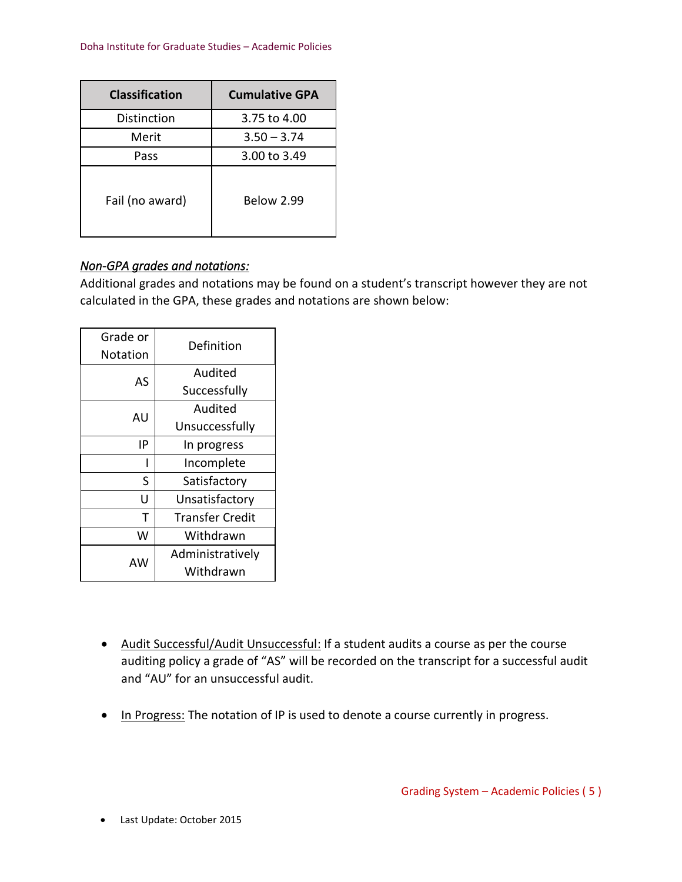| <b>Classification</b> | <b>Cumulative GPA</b> |
|-----------------------|-----------------------|
| Distinction           | 3.75 to 4.00          |
| Merit                 | $3.50 - 3.74$         |
| Pass                  | 3.00 to 3.49          |
| Fail (no award)       | <b>Below 2.99</b>     |

### <span id="page-4-0"></span>*Non-GPA grades and notations:*

Additional grades and notations may be found on a student's transcript however they are not calculated in the GPA, these grades and notations are shown below:

| Grade or<br>Notation | Definition             |
|----------------------|------------------------|
| AS                   | Audited                |
|                      | Successfully           |
| AU                   | Audited                |
|                      | Unsuccessfully         |
| ١P                   | In progress            |
|                      | Incomplete             |
| S                    | Satisfactory           |
| U                    | Unsatisfactory         |
| т                    | <b>Transfer Credit</b> |
| w                    | Withdrawn              |
| AW                   | Administratively       |
|                      | Withdrawn              |

- Audit Successful/Audit Unsuccessful: If a student audits a course as per the course auditing policy a grade of "AS" will be recorded on the transcript for a successful audit and "AU" for an unsuccessful audit.
- In Progress: The notation of IP is used to denote a course currently in progress.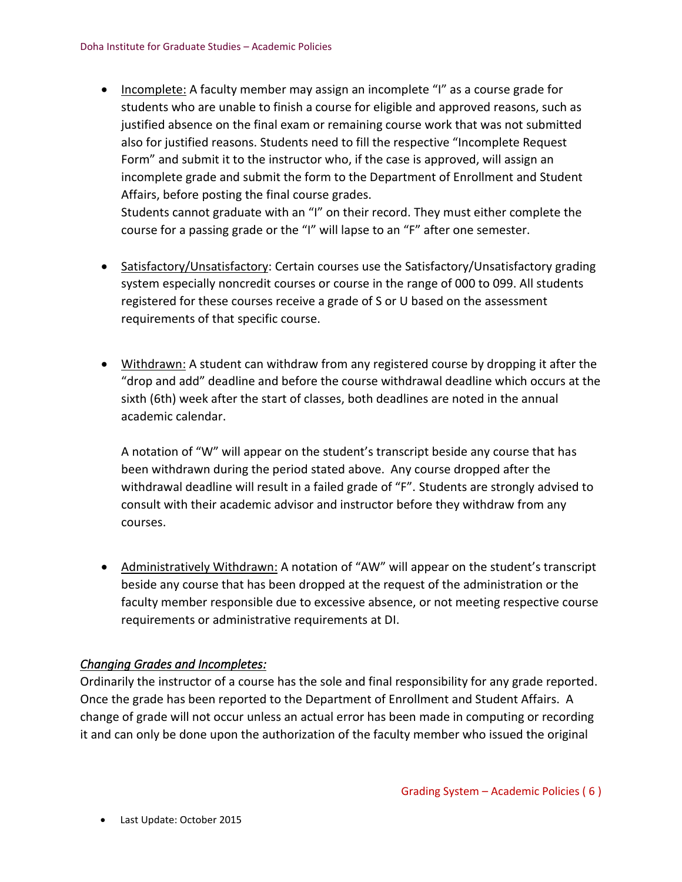• Incomplete: A faculty member may assign an incomplete "I" as a course grade for students who are unable to finish a course for eligible and approved reasons, such as justified absence on the final exam or remaining course work that was not submitted also for justified reasons. Students need to fill the respective "Incomplete Request Form" and submit it to the instructor who, if the case is approved, will assign an incomplete grade and submit the form to the Department of Enrollment and Student Affairs, before posting the final course grades.

Students cannot graduate with an "I" on their record. They must either complete the course for a passing grade or the "I" will lapse to an "F" after one semester.

- Satisfactory/Unsatisfactory: Certain courses use the Satisfactory/Unsatisfactory grading system especially noncredit courses or course in the range of 000 to 099. All students registered for these courses receive a grade of S or U based on the assessment requirements of that specific course.
- Withdrawn: A student can withdraw from any registered course by dropping it after the "drop and add" deadline and before the course withdrawal deadline which occurs at the sixth (6th) week after the start of classes, both deadlines are noted in the annual academic calendar.

A notation of "W" will appear on the student's transcript beside any course that has been withdrawn during the period stated above. Any course dropped after the withdrawal deadline will result in a failed grade of "F". Students are strongly advised to consult with their academic advisor and instructor before they withdraw from any courses.

• Administratively Withdrawn: A notation of "AW" will appear on the student's transcript beside any course that has been dropped at the request of the administration or the faculty member responsible due to excessive absence, or not meeting respective course requirements or administrative requirements at DI.

## <span id="page-5-0"></span>*Changing Grades and Incompletes:*

Ordinarily the instructor of a course has the sole and final responsibility for any grade reported. Once the grade has been reported to the Department of Enrollment and Student Affairs. A change of grade will not occur unless an actual error has been made in computing or recording it and can only be done upon the authorization of the faculty member who issued the original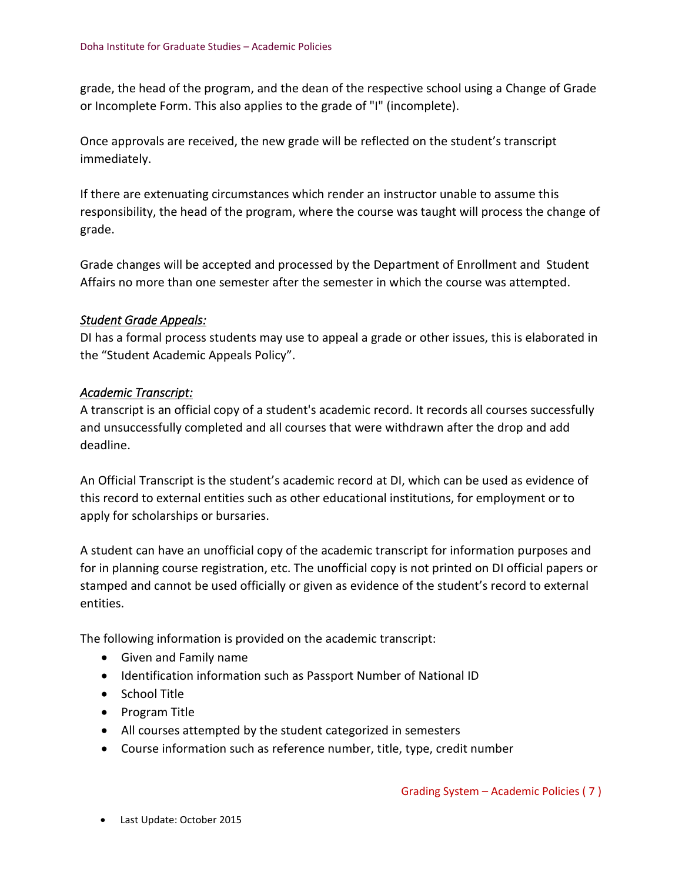grade, the head of the program, and the dean of the respective school using a Change of Grade or Incomplete Form. This also applies to the grade of "I" (incomplete).

Once approvals are received, the new grade will be reflected on the student's transcript immediately.

If there are extenuating circumstances which render an instructor unable to assume this responsibility, the head of the program, where the course was taught will process the change of grade.

Grade changes will be accepted and processed by the Department of Enrollment and Student Affairs no more than one semester after the semester in which the course was attempted.

#### <span id="page-6-0"></span>*Student Grade Appeals:*

DI has a formal process students may use to appeal a grade or other issues, this is elaborated in the "Student Academic Appeals Policy".

#### <span id="page-6-1"></span>*Academic Transcript:*

A transcript is an official copy of a student's academic record. It records all courses successfully and unsuccessfully completed and all courses that were withdrawn after the drop and add deadline.

An Official Transcript is the student's academic record at DI, which can be used as evidence of this record to external entities such as other educational institutions, for employment or to apply for scholarships or bursaries.

A student can have an unofficial copy of the academic transcript for information purposes and for in planning course registration, etc. The unofficial copy is not printed on DI official papers or stamped and cannot be used officially or given as evidence of the student's record to external entities.

The following information is provided on the academic transcript:

- Given and Family name
- Identification information such as Passport Number of National ID
- School Title
- Program Title
- All courses attempted by the student categorized in semesters
- Course information such as reference number, title, type, credit number